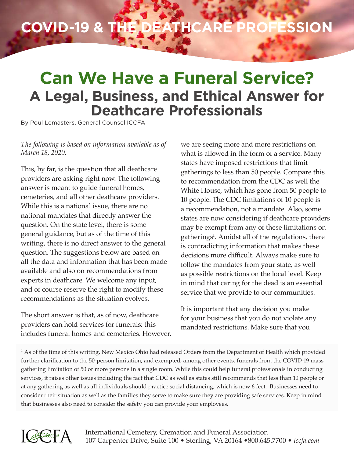## **COVID-19 & the Deathcare Profession**

## **Can We Have a Funeral Service? A Legal, Business, and Ethical Answer for Deathcare Professionals**

By Poul Lemasters, General Counsel ICCFA

## *The following is based on information available as of March 18, 2020.*

This, by far, is the question that all deathcare providers are asking right now. The following answer is meant to guide funeral homes, cemeteries, and all other deathcare providers. While this is a national issue, there are no national mandates that directly answer the question. On the state level, there is some general guidance, but as of the time of this writing, there is no direct answer to the general question. The suggestions below are based on all the data and information that has been made available and also on recommendations from experts in deathcare. We welcome any input, and of course reserve the right to modify these recommendations as the situation evolves.

The short answer is that, as of now, deathcare providers can hold services for funerals; this includes funeral homes and cemeteries. However, we are seeing more and more restrictions on what is allowed in the form of a service. Many states have imposed restrictions that limit gatherings to less than 50 people. Compare this to recommendation from the CDC as well the White House, which has gone from 50 people to 10 people. The CDC limitations of 10 people is a recommendation, not a mandate. Also, some states are now considering if deathcare providers may be exempt from any of these limitations on gatherings<sup>1</sup>. Amidst all of the regulations, there is contradicting information that makes these decisions more difficult. Always make sure to follow the mandates from your state, as well as possible restrictions on the local level. Keep in mind that caring for the dead is an essential service that we provide to our communities.

It is important that any decision you make for your business that you do not violate any mandated restrictions. Make sure that you

1 As of the time of this writing, New Mexico Ohio had released Orders from the Department of Health which provided further clarification to the 50-person limitation, and exempted, among other events, funerals from the COVID-19 mass gathering limitation of 50 or more persons in a single room. While this could help funeral professionals in conducting services, it raises other issues including the fact that CDC as well as states still recommends that less than 10 people or at any gathering as well as all individuals should practice social distancing, which is now 6 feet. Businesses need to consider their situation as well as the families they serve to make sure they are providing safe services. Keep in mind that businesses also need to consider the safety you can provide your employees.

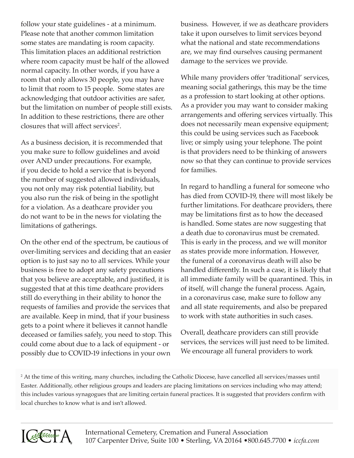follow your state guidelines - at a minimum. Please note that another common limitation some states are mandating is room capacity. This limitation places an additional restriction where room capacity must be half of the allowed normal capacity. In other words, if you have a room that only allows 30 people, you may have to limit that room to 15 people. Some states are acknowledging that outdoor activities are safer, but the limitation on number of people still exists. In addition to these restrictions, there are other closures that will affect services<sup>2</sup>.

As a business decision, it is recommended that you make sure to follow guidelines and avoid over AND under precautions. For example, if you decide to hold a service that is beyond the number of suggested allowed individuals, you not only may risk potential liability, but you also run the risk of being in the spotlight for a violation. As a deathcare provider you do not want to be in the news for violating the limitations of gatherings.

On the other end of the spectrum, be cautious of over-limiting services and deciding that an easier option is to just say no to all services. While your business is free to adopt any safety precautions that you believe are acceptable, and justified, it is suggested that at this time deathcare providers still do everything in their ability to honor the requests of families and provide the services that are available. Keep in mind, that if your business gets to a point where it believes it cannot handle deceased or families safely, you need to stop. This could come about due to a lack of equipment - or possibly due to COVID-19 infections in your own

business. However, if we as deathcare providers take it upon ourselves to limit services beyond what the national and state recommendations are, we may find ourselves causing permanent damage to the services we provide.

While many providers offer 'traditional' services, meaning social gatherings, this may be the time as a profession to start looking at other options. As a provider you may want to consider making arrangements and offering services virtually. This does not necessarily mean expensive equipment; this could be using services such as Facebook live; or simply using your telephone. The point is that providers need to be thinking of answers now so that they can continue to provide services for families.

In regard to handling a funeral for someone who has died from COVID-19, there will most likely be further limitations. For deathcare providers, there may be limitations first as to how the deceased is handled. Some states are now suggesting that a death due to coronavirus must be cremated. This is early in the process, and we will monitor as states provide more information. However, the funeral of a coronavirus death will also be handled differently. In such a case, it is likely that all immediate family will be quarantined. This, in of itself, will change the funeral process. Again, in a coronavirus case, make sure to follow any and all state requirements, and also be prepared to work with state authorities in such cases.

Overall, deathcare providers can still provide services, the services will just need to be limited. We encourage all funeral providers to work

2 At the time of this writing, many churches, including the Catholic Diocese, have cancelled all services/masses until Easter. Additionally, other religious groups and leaders are placing limitations on services including who may attend; this includes various synagogues that are limiting certain funeral practices. It is suggested that providers confirm with local churches to know what is and isn't allowed.